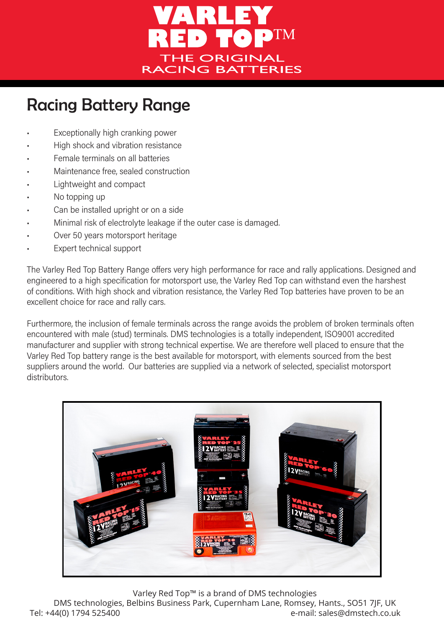

## Racing Battery Range

- Exceptionally high cranking power
- High shock and vibration resistance
- Female terminals on all batteries
- Maintenance free, sealed construction
- Lightweight and compact
- No topping up
- Can be installed upright or on a side
- Minimal risk of electrolyte leakage if the outer case is damaged.
- Over 50 years motorsport heritage
- Expert technical support

The Varley Red Top Battery Range offers very high performance for race and rally applications. Designed and engineered to a high specification for motorsport use, the Varley Red Top can withstand even the harshest of conditions. With high shock and vibration resistance, the Varley Red Top batteries have proven to be an excellent choice for race and rally cars.

Furthermore, the inclusion of female terminals across the range avoids the problem of broken terminals often encountered with male (stud) terminals. DMS technologies is a totally independent, ISO9001 accredited manufacturer and supplier with strong technical expertise. We are therefore well placed to ensure that the Varley Red Top battery range is the best available for motorsport, with elements sourced from the best suppliers around the world. Our batteries are supplied via a network of selected, specialist motorsport distributors.



Varley Red Top™ is a brand of DMS technologies

DMS technologies, Belbins Business Park, Cupernham Lane, Romsey, Hants., SO51 7JF, UK Tel: +44(0) 1794 525400 e-mail: sales@dmstech.co.uk